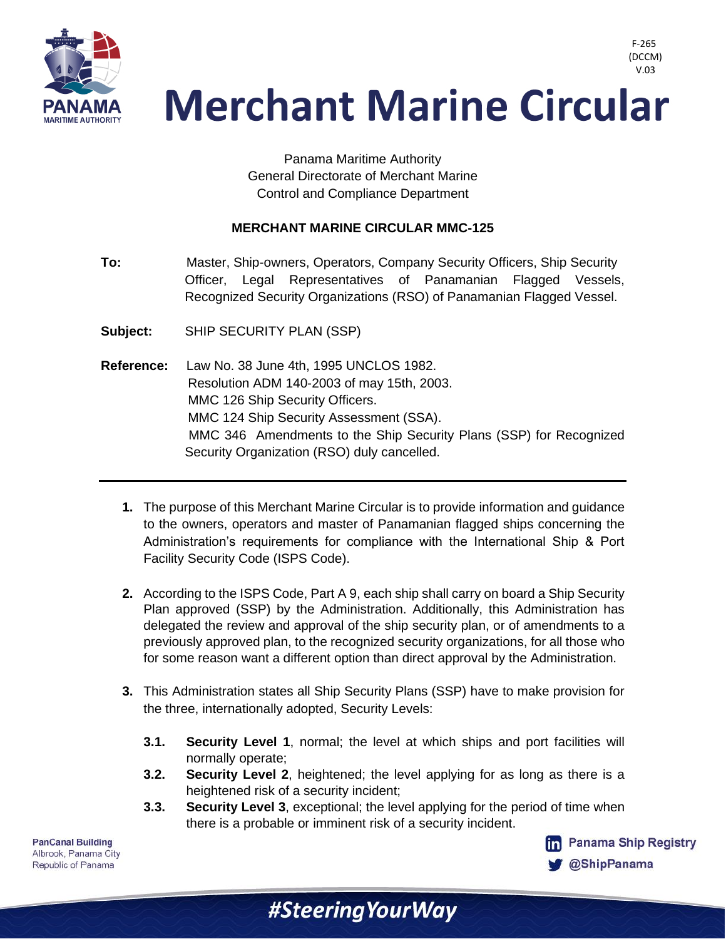

> Panama Maritime Authority General Directorate of Merchant Marine Control and Compliance Department

#### **MERCHANT MARINE CIRCULAR MMC-125**

- **To:** Master, Ship-owners, Operators, Company Security Officers, Ship Security Officer, Legal Representatives of Panamanian Flagged Vessels, Recognized Security Organizations (RSO) of Panamanian Flagged Vessel.
- **Subject:** SHIP SECURITY PLAN (SSP)
- **Reference:** Law No. 38 June 4th, 1995 UNCLOS 1982. Resolution ADM 140-2003 of may 15th, 2003. MMC 126 Ship Security Officers. MMC 124 Ship Security Assessment (SSA). MMC 346 Amendments to the Ship Security Plans (SSP) for Recognized Security Organization (RSO) duly cancelled.
	- **1.** The purpose of this Merchant Marine Circular is to provide information and guidance to the owners, operators and master of Panamanian flagged ships concerning the Administration's requirements for compliance with the International Ship & Port Facility Security Code (ISPS Code).
	- **2.** According to the ISPS Code, Part A 9, each ship shall carry on board a Ship Security Plan approved (SSP) by the Administration. Additionally, this Administration has delegated the review and approval of the ship security plan, or of amendments to a previously approved plan, to the recognized security organizations, for all those who for some reason want a different option than direct approval by the Administration.
	- **3.** This Administration states all Ship Security Plans (SSP) have to make provision for the three, internationally adopted, Security Levels:
		- **3.1. Security Level 1**, normal; the level at which ships and port facilities will normally operate;
		- **3.2. Security Level 2**, heightened; the level applying for as long as there is a heightened risk of a security incident;
		- **3.3. Security Level 3**, exceptional; the level applying for the period of time when there is a probable or imminent risk of a security incident.

#Steering Your Way

**PanCanal Building** Albrook, Panama City Republic of Panama



F-265 (DCCM)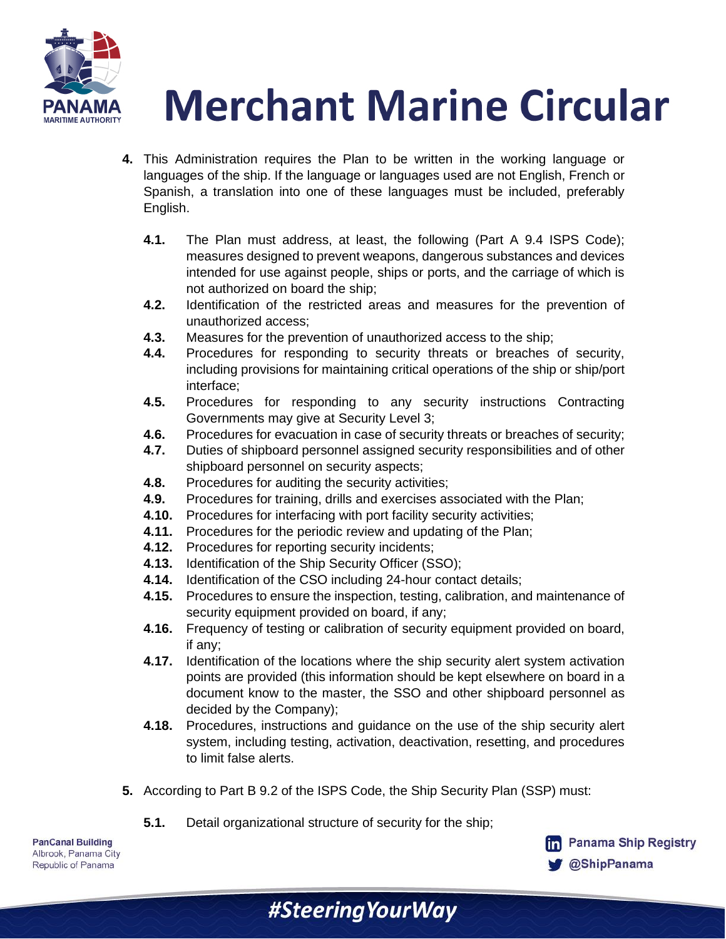

- **4.** This Administration requires the Plan to be written in the working language or languages of the ship. If the language or languages used are not English, French or Spanish, a translation into one of these languages must be included, preferably English.
	- **4.1.** The Plan must address, at least, the following (Part A 9.4 ISPS Code); measures designed to prevent weapons, dangerous substances and devices intended for use against people, ships or ports, and the carriage of which is not authorized on board the ship;
	- **4.2.** Identification of the restricted areas and measures for the prevention of unauthorized access;
	- **4.3.** Measures for the prevention of unauthorized access to the ship;
	- **4.4.** Procedures for responding to security threats or breaches of security, including provisions for maintaining critical operations of the ship or ship/port interface;
	- **4.5.** Procedures for responding to any security instructions Contracting Governments may give at Security Level 3;
	- **4.6.** Procedures for evacuation in case of security threats or breaches of security;
	- **4.7.** Duties of shipboard personnel assigned security responsibilities and of other shipboard personnel on security aspects;
	- **4.8.** Procedures for auditing the security activities;
	- **4.9.** Procedures for training, drills and exercises associated with the Plan;
	- **4.10.** Procedures for interfacing with port facility security activities;
	- **4.11.** Procedures for the periodic review and updating of the Plan;
	- **4.12.** Procedures for reporting security incidents;
	- **4.13.** Identification of the Ship Security Officer (SSO);
	- **4.14.** Identification of the CSO including 24-hour contact details;
	- **4.15.** Procedures to ensure the inspection, testing, calibration, and maintenance of security equipment provided on board, if any;
	- **4.16.** Frequency of testing or calibration of security equipment provided on board, if any;
	- **4.17.** Identification of the locations where the ship security alert system activation points are provided (this information should be kept elsewhere on board in a document know to the master, the SSO and other shipboard personnel as decided by the Company);
	- **4.18.** Procedures, instructions and guidance on the use of the ship security alert system, including testing, activation, deactivation, resetting, and procedures to limit false alerts.
- **5.** According to Part B 9.2 of the ISPS Code, the Ship Security Plan (SSP) must:

#SteeringYourWay

**5.1.** Detail organizational structure of security for the ship;

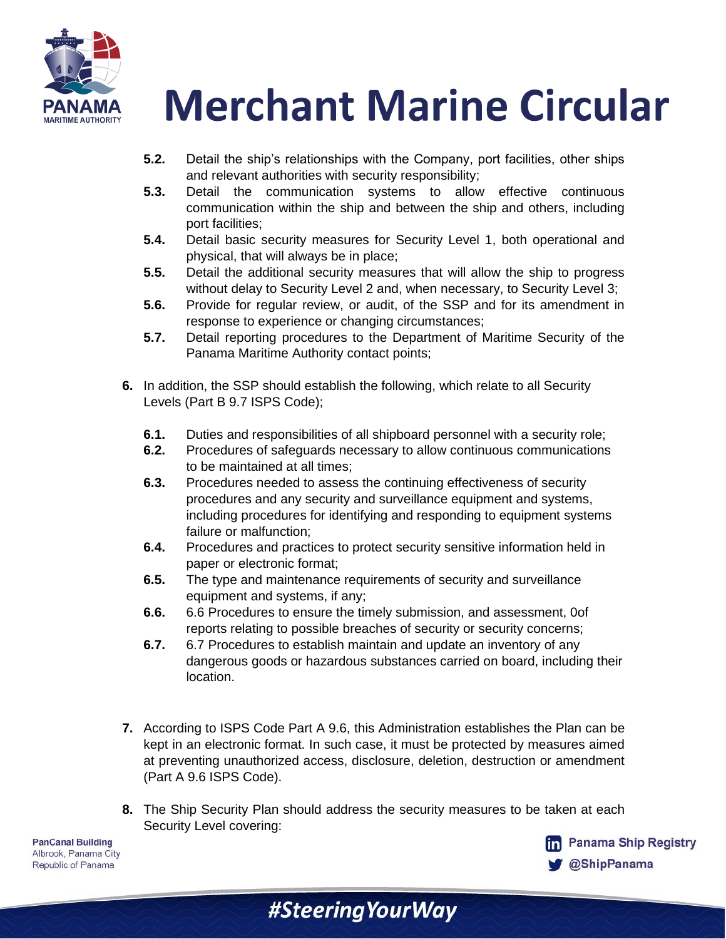

- **5.2.** Detail the ship's relationships with the Company, port facilities, other ships and relevant authorities with security responsibility;
- **5.3.** Detail the communication systems to allow effective continuous communication within the ship and between the ship and others, including port facilities;
- **5.4.** Detail basic security measures for Security Level 1, both operational and physical, that will always be in place;
- **5.5.** Detail the additional security measures that will allow the ship to progress without delay to Security Level 2 and, when necessary, to Security Level 3;
- **5.6.** Provide for regular review, or audit, of the SSP and for its amendment in response to experience or changing circumstances;
- **5.7.** Detail reporting procedures to the Department of Maritime Security of the Panama Maritime Authority contact points;
- **6.** In addition, the SSP should establish the following, which relate to all Security Levels (Part B 9.7 ISPS Code);
	- **6.1.** Duties and responsibilities of all shipboard personnel with a security role;
	- **6.2.** Procedures of safeguards necessary to allow continuous communications to be maintained at all times;
	- **6.3.** Procedures needed to assess the continuing effectiveness of security procedures and any security and surveillance equipment and systems, including procedures for identifying and responding to equipment systems failure or malfunction;
	- **6.4.** Procedures and practices to protect security sensitive information held in paper or electronic format;
	- **6.5.** The type and maintenance requirements of security and surveillance equipment and systems, if any;
	- **6.6.** 6.6 Procedures to ensure the timely submission, and assessment, 0of reports relating to possible breaches of security or security concerns;
	- **6.7.** 6.7 Procedures to establish maintain and update an inventory of any dangerous goods or hazardous substances carried on board, including their location.
- **7.** According to ISPS Code Part A 9.6, this Administration establishes the Plan can be kept in an electronic format. In such case, it must be protected by measures aimed at preventing unauthorized access, disclosure, deletion, destruction or amendment (Part A 9.6 ISPS Code).
- **8.** The Ship Security Plan should address the security measures to be taken at each Security Level covering:

#SteeringYourWay

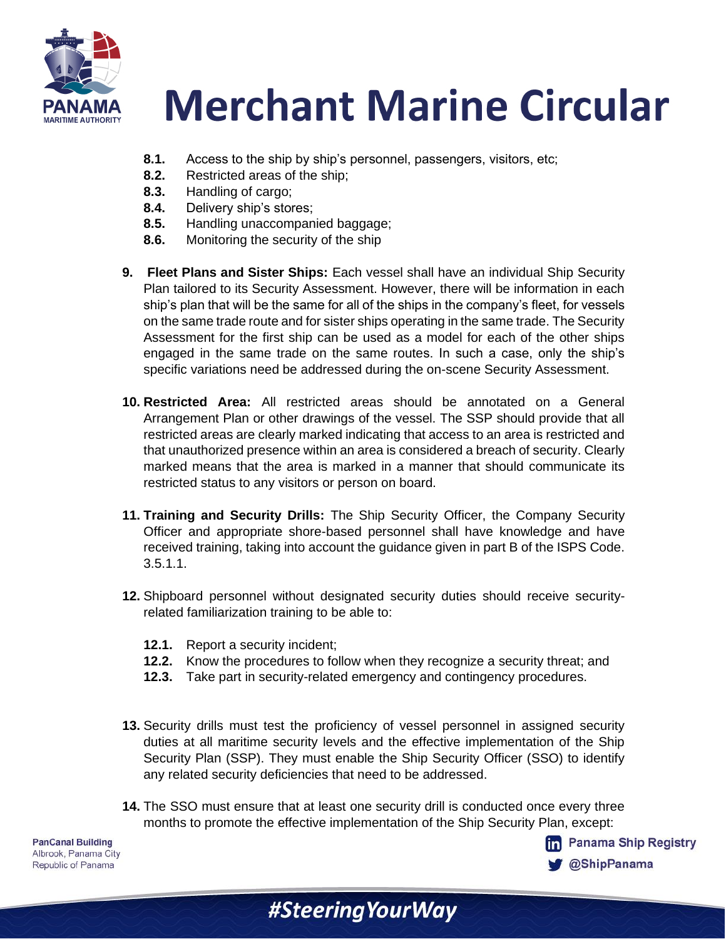

- **8.1.** Access to the ship by ship's personnel, passengers, visitors, etc;
- **8.2.** Restricted areas of the ship;
- **8.3.** Handling of cargo;
- **8.4.** Delivery ship's stores;
- **8.5.** Handling unaccompanied baggage;
- **8.6.** Monitoring the security of the ship
- **9. Fleet Plans and Sister Ships:** Each vessel shall have an individual Ship Security Plan tailored to its Security Assessment. However, there will be information in each ship's plan that will be the same for all of the ships in the company's fleet, for vessels on the same trade route and for sister ships operating in the same trade. The Security Assessment for the first ship can be used as a model for each of the other ships engaged in the same trade on the same routes. In such a case, only the ship's specific variations need be addressed during the on-scene Security Assessment.
- **10. Restricted Area:** All restricted areas should be annotated on a General Arrangement Plan or other drawings of the vessel. The SSP should provide that all restricted areas are clearly marked indicating that access to an area is restricted and that unauthorized presence within an area is considered a breach of security. Clearly marked means that the area is marked in a manner that should communicate its restricted status to any visitors or person on board.
- **11. Training and Security Drills:** The Ship Security Officer, the Company Security Officer and appropriate shore-based personnel shall have knowledge and have received training, taking into account the guidance given in part B of the ISPS Code. 3.5.1.1.
- **12.** Shipboard personnel without designated security duties should receive securityrelated familiarization training to be able to:
	- **12.1.** Report a security incident;
	- **12.2.** Know the procedures to follow when they recognize a security threat; and
	- **12.3.** Take part in security-related emergency and contingency procedures.
- **13.** Security drills must test the proficiency of vessel personnel in assigned security duties at all maritime security levels and the effective implementation of the Ship Security Plan (SSP). They must enable the Ship Security Officer (SSO) to identify any related security deficiencies that need to be addressed.
- **14.** The SSO must ensure that at least one security drill is conducted once every three months to promote the effective implementation of the Ship Security Plan, except:

#Steering Your Way

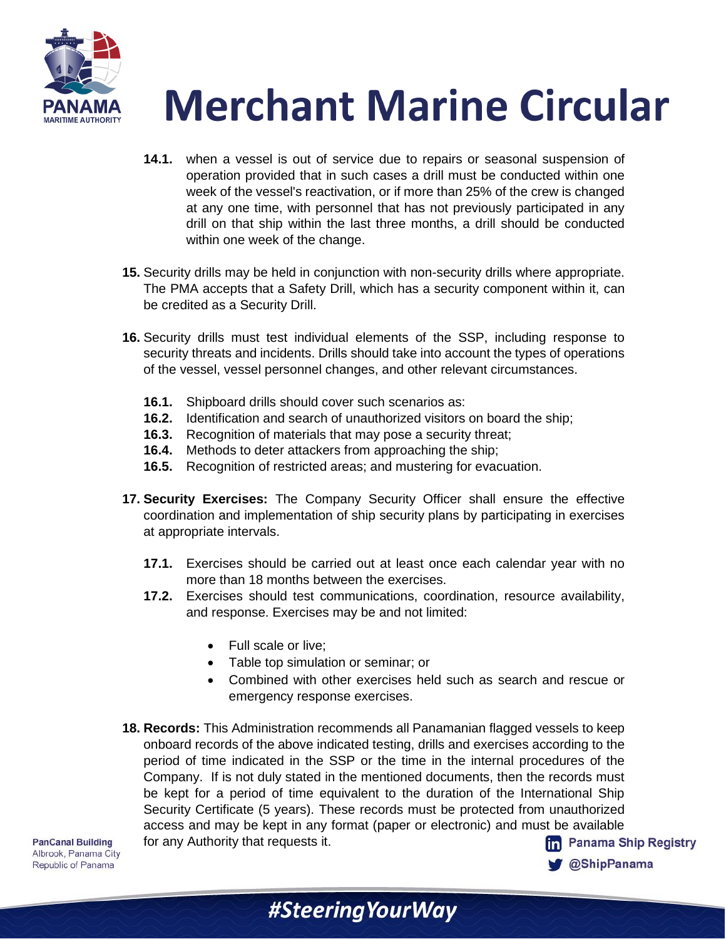

- **14.1.** when a vessel is out of service due to repairs or seasonal suspension of operation provided that in such cases a drill must be conducted within one week of the vessel's reactivation, or if more than 25% of the crew is changed at any one time, with personnel that has not previously participated in any drill on that ship within the last three months, a drill should be conducted within one week of the change.
- **15.** Security drills may be held in conjunction with non-security drills where appropriate. The PMA accepts that a Safety Drill, which has a security component within it, can be credited as a Security Drill.
- **16.** Security drills must test individual elements of the SSP, including response to security threats and incidents. Drills should take into account the types of operations of the vessel, vessel personnel changes, and other relevant circumstances.
	- **16.1.** Shipboard drills should cover such scenarios as:
	- **16.2.** Identification and search of unauthorized visitors on board the ship;
	- **16.3.** Recognition of materials that may pose a security threat;
	- **16.4.** Methods to deter attackers from approaching the ship;
	- **16.5.** Recognition of restricted areas; and mustering for evacuation.
- **17. Security Exercises:** The Company Security Officer shall ensure the effective coordination and implementation of ship security plans by participating in exercises at appropriate intervals.
	- **17.1.** Exercises should be carried out at least once each calendar year with no more than 18 months between the exercises.
	- **17.2.** Exercises should test communications, coordination, resource availability, and response. Exercises may be and not limited:
		- Full scale or live;
		- Table top simulation or seminar; or
		- Combined with other exercises held such as search and rescue or emergency response exercises.

**@ShipPanama** 

**18. Records:** This Administration recommends all Panamanian flagged vessels to keep onboard records of the above indicated testing, drills and exercises according to the period of time indicated in the SSP or the time in the internal procedures of the Company. If is not duly stated in the mentioned documents, then the records must be kept for a period of time equivalent to the duration of the International Ship Security Certificate (5 years). These records must be protected from unauthorized access and may be kept in any format (paper or electronic) and must be available for any Authority that requests it.**fm** Panama Ship Registry

**PanCanal Building** Albrook, Panama City Republic of Panama

#SteeringYourWay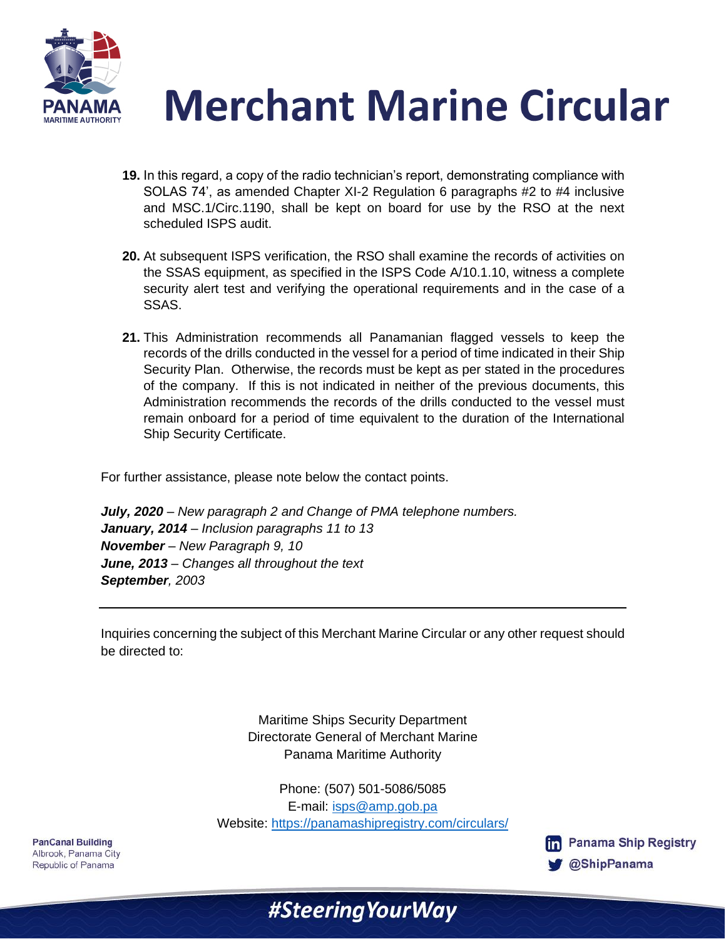



- **19.** In this regard, a copy of the radio technician's report, demonstrating compliance with SOLAS 74', as amended Chapter XI-2 Regulation 6 paragraphs #2 to #4 inclusive and MSC.1/Circ.1190, shall be kept on board for use by the RSO at the next scheduled ISPS audit.
- **20.** At subsequent ISPS verification, the RSO shall examine the records of activities on the SSAS equipment, as specified in the ISPS Code A/10.1.10, witness a complete security alert test and verifying the operational requirements and in the case of a SSAS.
- **21.** This Administration recommends all Panamanian flagged vessels to keep the records of the drills conducted in the vessel for a period of time indicated in their Ship Security Plan. Otherwise, the records must be kept as per stated in the procedures of the company. If this is not indicated in neither of the previous documents, this Administration recommends the records of the drills conducted to the vessel must remain onboard for a period of time equivalent to the duration of the International Ship Security Certificate.

For further assistance, please note below the contact points.

*July, 2020 – New paragraph 2 and Change of PMA telephone numbers. January, 2014 – Inclusion paragraphs 11 to 13 November – New Paragraph 9, 10 June, 2013 – Changes all throughout the text September, 2003*

Inquiries concerning the subject of this Merchant Marine Circular or any other request should be directed to:

> Maritime Ships Security Department Directorate General of Merchant Marine Panama Maritime Authority

Phone: (507) 501-5086/5085 E-mail: [isps@amp.gob.pa](mailto:isps@amp.gob.pa) Website:<https://panamashipregistry.com/circulars/>

#Steering Your Way